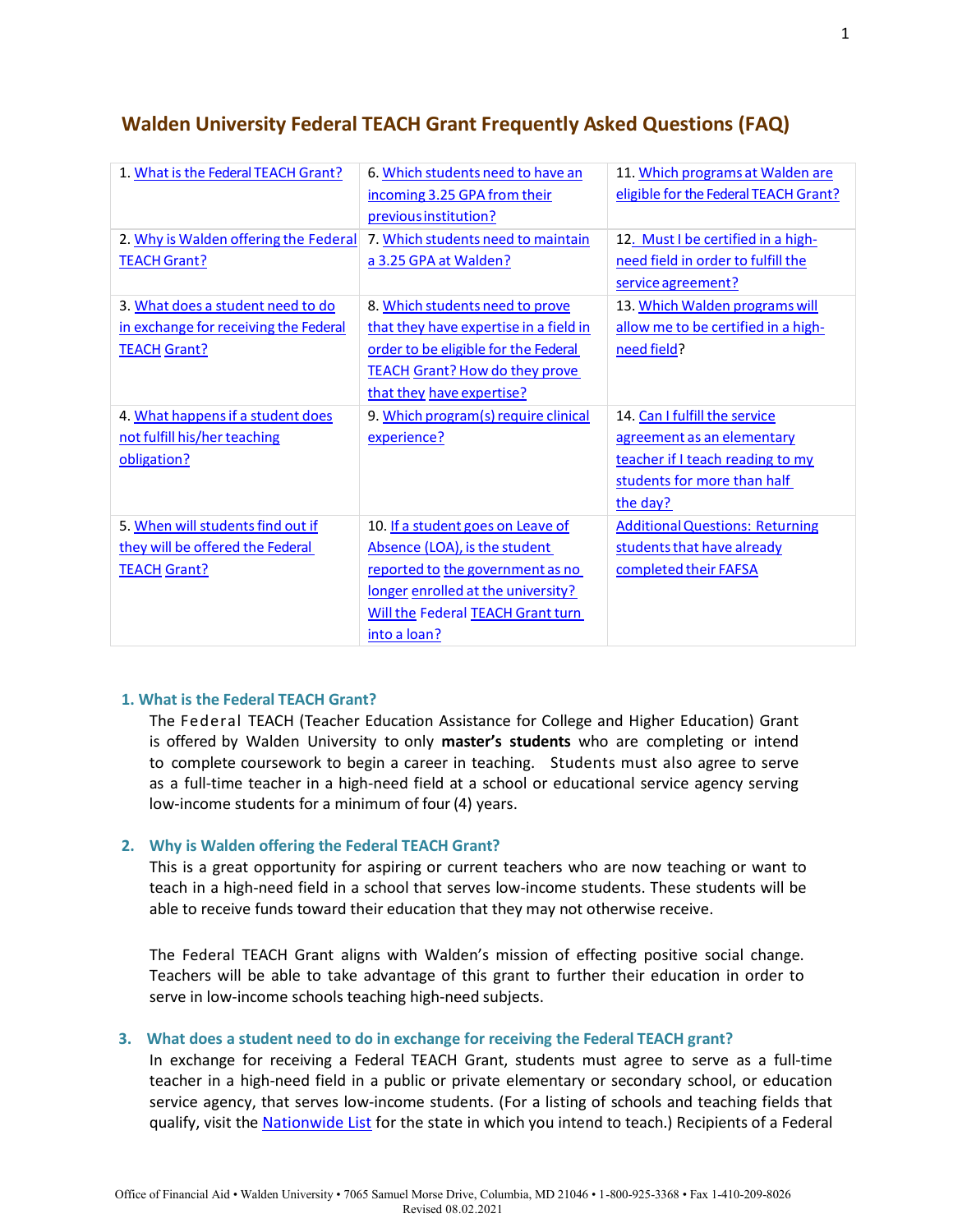| 1. What is the Federal TEACH Grant?                                                               | 6. Which students need to have an<br>incoming 3.25 GPA from their<br>previous institution?                                                                                                               | 11. Which programs at Walden are<br>eligible for the Federal TEACH Grant?                                                                  |
|---------------------------------------------------------------------------------------------------|----------------------------------------------------------------------------------------------------------------------------------------------------------------------------------------------------------|--------------------------------------------------------------------------------------------------------------------------------------------|
| 2. Why is Walden offering the Federal<br><b>TEACH Grant?</b>                                      | 7. Which students need to maintain<br>a 3.25 GPA at Walden?                                                                                                                                              | 12. Must I be certified in a high-<br>need field in order to fulfill the<br>service agreement?                                             |
| 3. What does a student need to do<br>in exchange for receiving the Federal<br><b>TEACH Grant?</b> | 8. Which students need to prove<br>that they have expertise in a field in<br>order to be eligible for the Federal<br><b>TEACH Grant? How do they prove</b><br>that they have expertise?                  | 13. Which Walden programs will<br>allow me to be certified in a high-<br>need field?                                                       |
| 4. What happens if a student does<br>not fulfill his/her teaching<br>obligation?                  | 9. Which program(s) require clinical<br>experience?                                                                                                                                                      | 14. Can I fulfill the service<br>agreement as an elementary<br>teacher if I teach reading to my<br>students for more than half<br>the day? |
| 5. When will students find out if<br>they will be offered the Federal<br><b>TEACH Grant?</b>      | 10. If a student goes on Leave of<br>Absence (LOA), is the student<br>reported to the government as no<br>longer enrolled at the university?<br><b>Will the Federal TEACH Grant turn</b><br>into a loan? | <b>Additional Questions: Returning</b><br>students that have already<br>completed their FAFSA                                              |

# **Walden University Federal TEACH Grant Frequently Asked Questions (FAQ)**

### **1. What is the Federal TEACH Grant?**

The Federal TEACH (Teacher Education Assistance for College and Higher Education) Grant is offered by Walden University to only **master's students** who are completing or intend to complete coursework to begin a career in teaching. Students must also agree to serve as a full-time teacher in a high-need field at a school or educational service agency serving low-income students for a minimum of four (4) years.

# **2. Why is Walden offering the Federal TEACH Grant?**

This is a great opportunity for aspiring or current teachers who are now teaching or want to teach in a high-need field in a school that serves low-income students. These students will be able to receive funds toward their education that they may not otherwise receive.

The Federal TEACH Grant aligns with Walden's mission of effecting positive social change. Teachers will be able to take advantage of this grant to further their education in order to serve in low-income schools teaching high-need subjects.

# **3. What does a student need to do in exchange for receiving the Federal TEACH grant?**

In exchange for receiving a Federal TEACH Grant, students must agree to serve as a full-time teacher in a high-need field in a public or private elementary or secondary school, or education service agency, that serves low-income students. (For a listing of schools and teaching fields that qualify, visit the [Nationwide List](https://tsa.ed.gov/#/home/) for the state in which you intend to teach.) Recipients of a Federal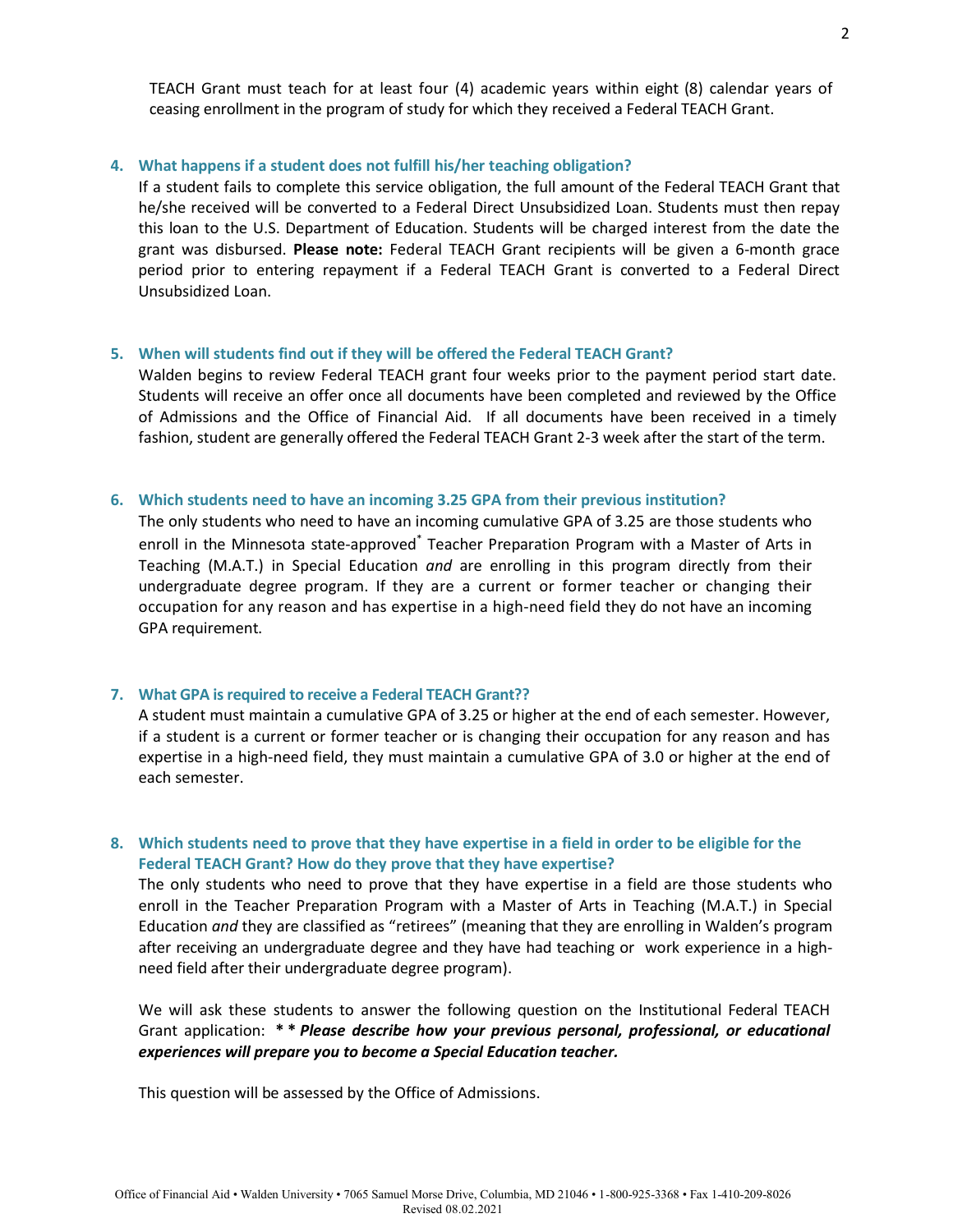TEACH Grant must teach for at least four (4) academic years within eight (8) calendar years of ceasing enrollment in the program of study for which they received a Federal TEACH Grant.

### **4. What happens if a student does not fulfill his/her teaching obligation?**

If a student fails to complete this service obligation, the full amount of the Federal TEACH Grant that he/she received will be converted to a Federal Direct Unsubsidized Loan. Students must then repay this loan to the U.S. Department of Education. Students will be charged interest from the date the grant was disbursed. **Please note:** Federal TEACH Grant recipients will be given a 6-month grace period prior to entering repayment if a Federal TEACH Grant is converted to a Federal Direct Unsubsidized Loan.

### **5. When will students find out if they will be offered the Federal TEACH Grant?**

Walden begins to review Federal TEACH grant four weeks prior to the payment period start date. Students will receive an offer once all documents have been completed and reviewed by the Office of Admissions and the Office of Financial Aid. If all documents have been received in a timely fashion, student are generally offered the Federal TEACH Grant 2-3 week after the start of the term.

#### **6. Which students need to have an incoming 3.25 GPA from their previous institution?**

The only students who need to have an incoming cumulative GPA of 3.25 are those students who enroll in the Minnesota state-approved\* Teacher Preparation Program with a Master of Arts in Teaching (M.A.T.) in Special Education *and* are enrolling in this program directly from their undergraduate degree program. If they are a current or former teacher or changing their occupation for any reason and has expertise in a high-need field they do not have an incoming GPA requirement.

#### **7. What GPA is required to receive a Federal TEACH Grant??**

A student must maintain a cumulative GPA of 3.25 or higher at the end of each semester. However, if a student is a current or former teacher or is changing their occupation for any reason and has expertise in a high-need field, they must maintain a cumulative GPA of 3.0 or higher at the end of each semester.

# **8. Which students need to prove that they have expertise in a field in order to be eligible for the Federal TEACH Grant? How do they prove that they have expertise?**

The only students who need to prove that they have expertise in a field are those students who enroll in the Teacher Preparation Program with a Master of Arts in Teaching (M.A.T.) in Special Education *and* they are classified as "retirees" (meaning that they are enrolling in Walden's program after receiving an undergraduate degree and they have had teaching or work experience in a highneed field after their undergraduate degree program).

We will ask these students to answer the following question on the Institutional Federal TEACH Grant application: **\* \*** *Please describe how your previous personal, professional, or educational experiences will prepare you to become a Special Education teacher.*

This question will be assessed by the Office of Admissions.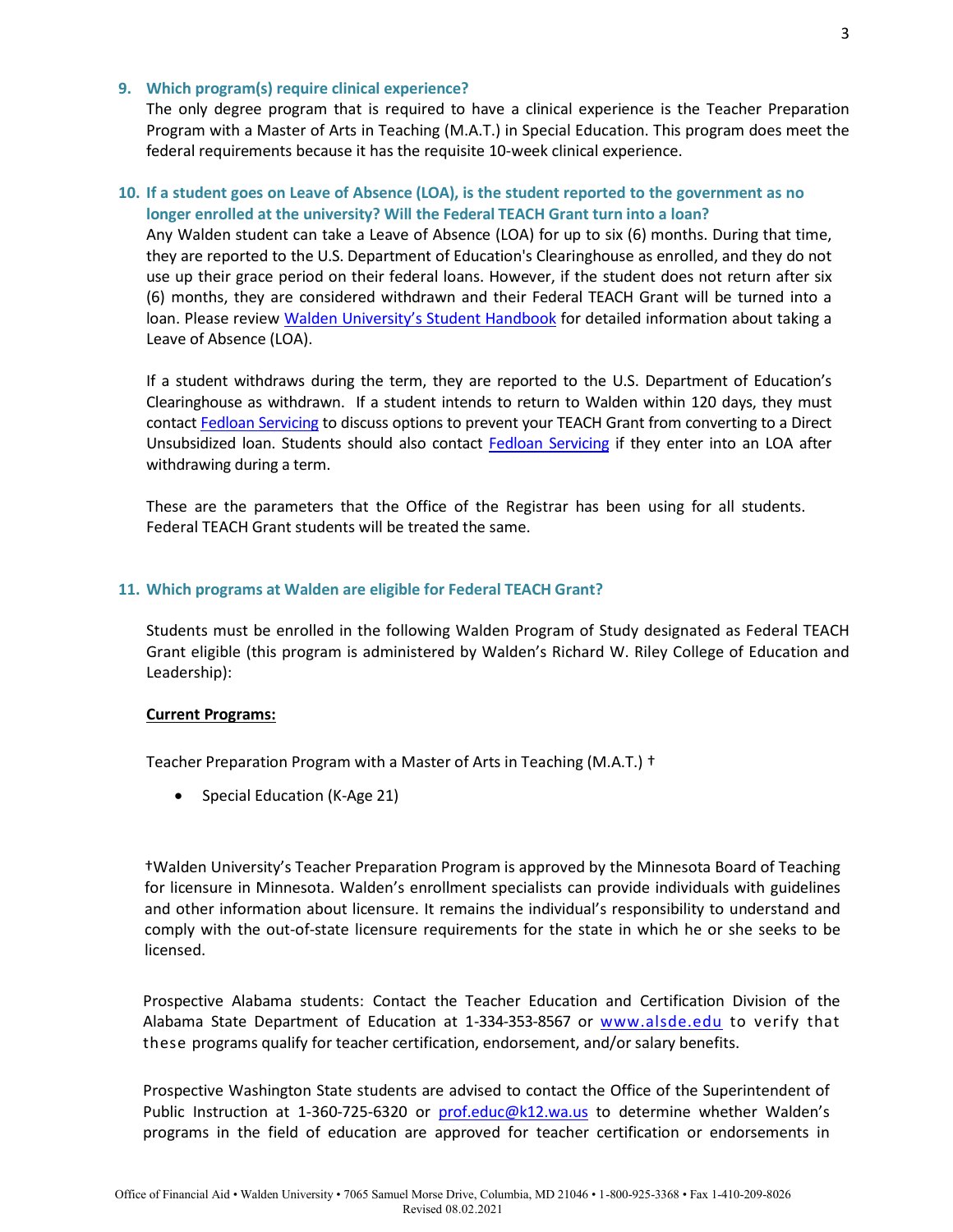### **9. Which program(s) require clinical experience?**

The only degree program that is required to have a clinical experience is the Teacher Preparation Program with a Master of Arts in Teaching (M.A.T.) in Special Education. This program does meet the federal requirements because it has the requisite 10-week clinical experience.

### **10. If a student goes on Leave of Absence (LOA), is the student reported to the government as no longer enrolled at the university? Will the Federal TEACH Grant turn into a loan?**

Any Walden student can take a Leave of Absence (LOA) for up to six (6) months. During that time, they are reported to the U.S. Department of Education's Clearinghouse as enrolled, and they do not use up their grace period on their federal loans. However, if the student does not return after six (6) months, they are considered withdrawn and their Federal TEACH Grant will be turned into a loan. Please review [Walden University's Student Handbook](https://catalog.waldenu.edu/) for detailed information about taking a Leave of Absence (LOA).

If a student withdraws during the term, they are reported to the U.S. Department of Education's Clearinghouse as withdrawn. If a student intends to return to Walden within 120 days, they must contact [Fedloan Servicing](https://myfedloan.org/) to discuss options to prevent your TEACH Grant from converting to a Direct Unsubsidized loan. Students should also contact [Fedloan Servicing](https://myfedloan.org/) if they enter into an LOA after withdrawing during a term.

These are the parameters that the Office of the Registrar has been using for all students. Federal TEACH Grant students will be treated the same.

### **11. Which programs at Walden are eligible for Federal TEACH Grant?**

Students must be enrolled in the following Walden Program of Study designated as Federal TEACH Grant eligible (this program is administered by Walden's Richard W. Riley College of Education and Leadership):

#### **Current Programs:**

Teacher Preparation Program with a Master of Arts in Teaching (M.A.T.) †

• Special Education (K-Age 21)

†Walden University's Teacher Preparation Program is approved by the Minnesota Board of Teaching for licensure in Minnesota. Walden's enrollment specialists can provide individuals with guidelines and other information about licensure. It remains the individual's responsibility to understand and comply with the out-of-state licensure requirements for the state in which he or she seeks to be licensed.

Prospective Alabama students: Contact the Teacher Education and Certification Division of the Alabama State Department of Education at 1-334-353-8567 or [www.alsde.edu](http://www.alsde.edu/) to verify that these programs qualify for teacher certification, endorsement, and/or salary benefits.

Prospective Washington State students are advised to contact the Office of the Superintendent of Public Instruction at 1-360-725-6320 or [prof.educ@k12.wa.us](mailto:prof.educ@k12.wa.us) to determine whether Walden's programs in the field of education are approved for teacher certification or endorsements in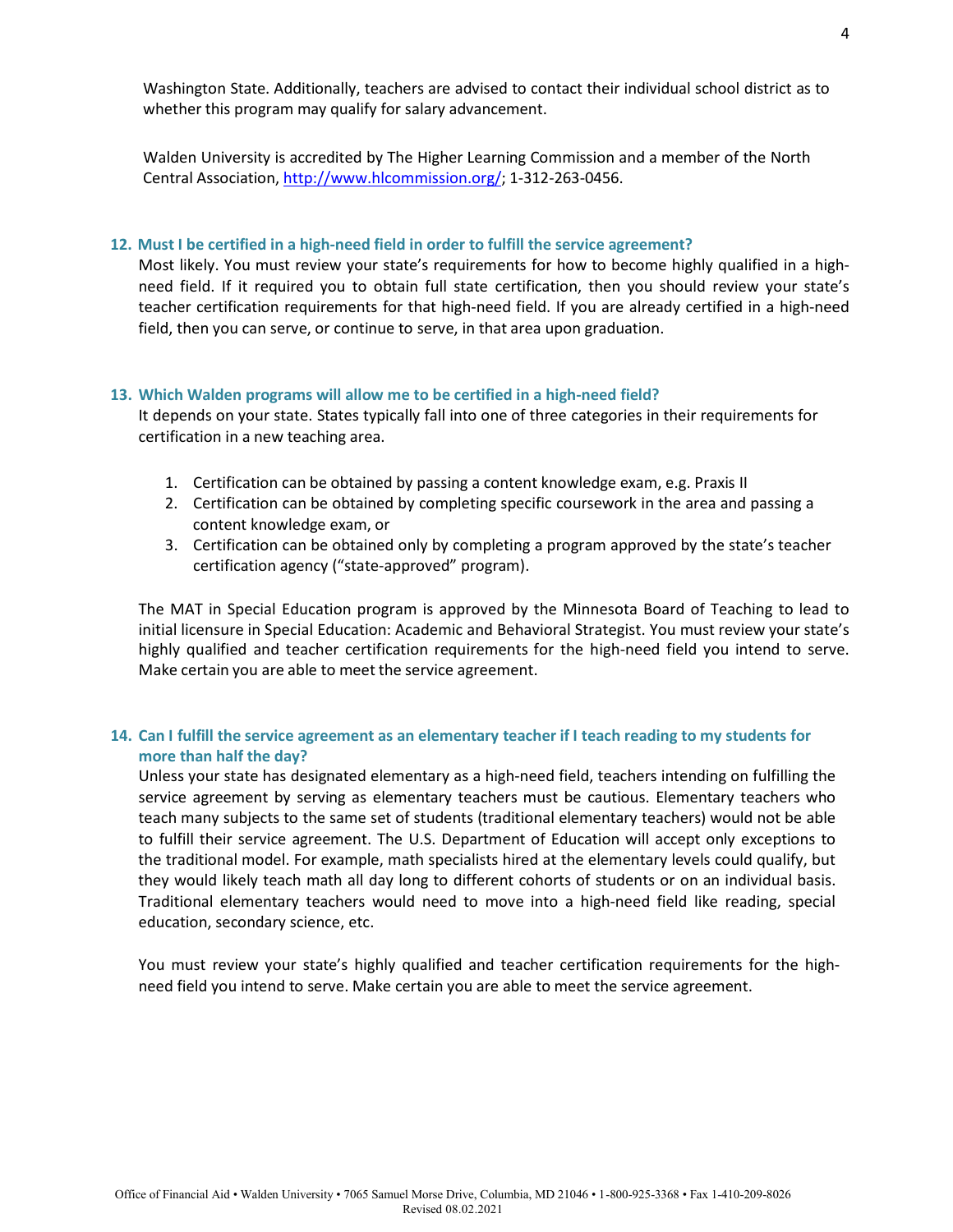Washington State. Additionally, teachers are advised to contact their individual school district as to whether this program may qualify for salary advancement.

Walden University is accredited by The Higher Learning Commission and a member of the North Central Association, [http://www.hlcommission.org/;](http://www.hlcommission.org/) 1-312-263-0456.

### **12. Must I be certified in a high-need field in order to fulfill the service agreement?**

Most likely. You must review your state's requirements for how to become highly qualified in a highneed field. If it required you to obtain full state certification, then you should review your state's teacher certification requirements for that high-need field. If you are already certified in a high-need field, then you can serve, or continue to serve, in that area upon graduation.

#### **13. Which Walden programs will allow me to be certified in a high-need field?**

It depends on your state. States typically fall into one of three categories in their requirements for certification in a new teaching area.

- 1. Certification can be obtained by passing a content knowledge exam, e.g. Praxis II
- 2. Certification can be obtained by completing specific coursework in the area and passing a content knowledge exam, or
- 3. Certification can be obtained only by completing a program approved by the state's teacher certification agency ("state-approved" program).

The MAT in Special Education program is approved by the Minnesota Board of Teaching to lead to initial licensure in Special Education: Academic and Behavioral Strategist. You must review your state's highly qualified and teacher certification requirements for the high-need field you intend to serve. Make certain you are able to meet the service agreement.

# **14. Can I fulfill the service agreement as an elementary teacher if I teach reading to my students for more than half the day?**

Unless your state has designated elementary as a high-need field, teachers intending on fulfilling the service agreement by serving as elementary teachers must be cautious. Elementary teachers who teach many subjects to the same set of students (traditional elementary teachers) would not be able to fulfill their service agreement. The U.S. Department of Education will accept only exceptions to the traditional model. For example, math specialists hired at the elementary levels could qualify, but they would likely teach math all day long to different cohorts of students or on an individual basis. Traditional elementary teachers would need to move into a high-need field like reading, special education, secondary science, etc.

You must review your state's highly qualified and teacher certification requirements for the highneed field you intend to serve. Make certain you are able to meet the service agreement.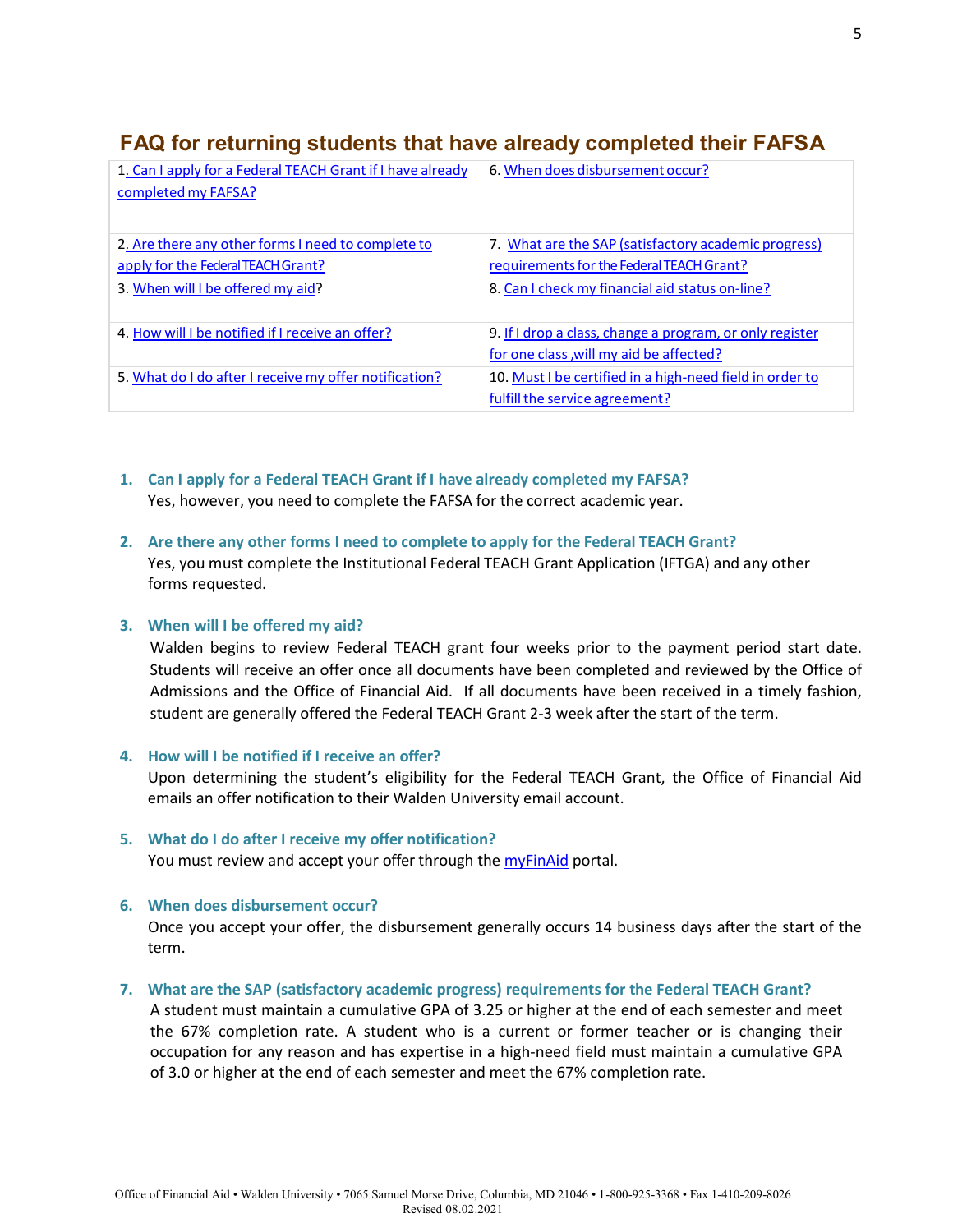#### **FAQ for returning students that have already completed their FAFSA** 1. Can I apply for a Federal TEACH Grant if I have already 6. When does disbursement occur?

| 1. Can I apply for a Federal TEACH Grant if I have already<br>completed my FAFSA? | 6. When does disbursement occur?                         |
|-----------------------------------------------------------------------------------|----------------------------------------------------------|
| 2. Are there any other forms I need to complete to                                | 7. What are the SAP (satisfactory academic progress)     |
| apply for the Federal TEACH Grant?                                                | requirements for the Federal TEACH Grant?                |
| 3. When will I be offered my aid?                                                 | 8. Can I check my financial aid status on-line?          |
| 4. How will I be notified if I receive an offer?                                  | 9. If I drop a class, change a program, or only register |
|                                                                                   | for one class, will my aid be affected?                  |
| 5. What do I do after I receive my offer notification?                            | 10. Must I be certified in a high-need field in order to |
|                                                                                   | fulfill the service agreement?                           |

**1. Can I apply for a Federal TEACH Grant if I have already completed my FAFSA?** Yes, however, you need to complete the FAFSA for the correct academic year.

# **2. Are there any other forms I need to complete to apply for the Federal TEACH Grant?** Yes, you must complete the Institutional Federal TEACH Grant Application (IFTGA) and any other forms requested.

# **3. When will I be offered my aid?**

Walden begins to review Federal TEACH grant four weeks prior to the payment period start date. Students will receive an offer once all documents have been completed and reviewed by the Office of Admissions and the Office of Financial Aid. If all documents have been received in a timely fashion, student are generally offered the Federal TEACH Grant 2-3 week after the start of the term.

# **4. How will I be notified if I receive an offer?**

Upon determining the student's eligibility for the Federal TEACH Grant, the Office of Financial Aid emails an offer notification to their Walden University email account.

# **5. What do I do after I receive my offer notification?** You must review and accept your offer through the [myFinAid](https://finaid.waldenu.edu/NetPartnerStudent/Logon.aspx) portal.

# **6. When does disbursement occur?**

Once you accept your offer, the disbursement generally occurs 14 business days after the start of the term.

### **7. What are the SAP (satisfactory academic progress) requirements for the Federal TEACH Grant?**

A student must maintain a cumulative GPA of 3.25 or higher at the end of each semester and meet the 67% completion rate. A student who is a current or former teacher or is changing their occupation for any reason and has expertise in a high-need field must maintain a cumulative GPA of 3.0 or higher at the end of each semester and meet the 67% completion rate.